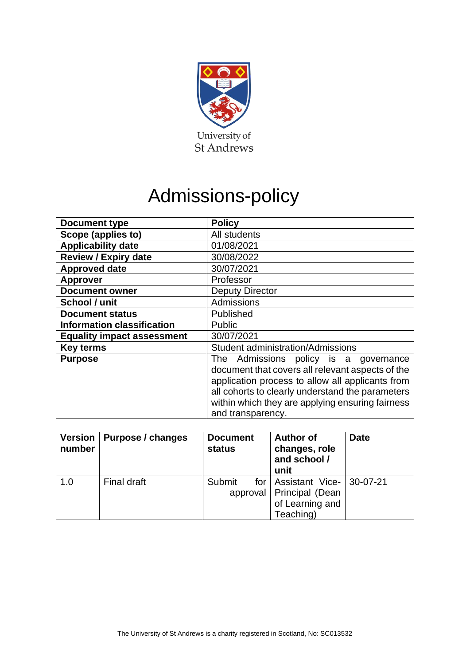

# Admissions-policy

| <b>Document type</b>              | <b>Policy</b>                                                                                                                                                                                                                                                                 |
|-----------------------------------|-------------------------------------------------------------------------------------------------------------------------------------------------------------------------------------------------------------------------------------------------------------------------------|
| Scope (applies to)                | All students                                                                                                                                                                                                                                                                  |
| <b>Applicability date</b>         | 01/08/2021                                                                                                                                                                                                                                                                    |
| <b>Review / Expiry date</b>       | 30/08/2022                                                                                                                                                                                                                                                                    |
| <b>Approved date</b>              | 30/07/2021                                                                                                                                                                                                                                                                    |
| <b>Approver</b>                   | Professor                                                                                                                                                                                                                                                                     |
| <b>Document owner</b>             | <b>Deputy Director</b>                                                                                                                                                                                                                                                        |
| School / unit                     | Admissions                                                                                                                                                                                                                                                                    |
| <b>Document status</b>            | Published                                                                                                                                                                                                                                                                     |
| <b>Information classification</b> | <b>Public</b>                                                                                                                                                                                                                                                                 |
| <b>Equality impact assessment</b> | 30/07/2021                                                                                                                                                                                                                                                                    |
| <b>Key terms</b>                  | <b>Student administration/Admissions</b>                                                                                                                                                                                                                                      |
| <b>Purpose</b>                    | The Admissions policy is a<br>governance<br>document that covers all relevant aspects of the<br>application process to allow all applicants from<br>all cohorts to clearly understand the parameters<br>within which they are applying ensuring fairness<br>and transparency. |

| <b>Version</b><br>number | Purpose / changes | <b>Document</b><br><b>status</b> | <b>Author of</b><br>changes, role<br>and school /<br>unit | <b>Date</b> |
|--------------------------|-------------------|----------------------------------|-----------------------------------------------------------|-------------|
| 1.0                      | Final draft       | Submit                           | for   Assistant Vice- $ 30-07-21$                         |             |
|                          |                   |                                  | approval   Principal (Dean                                |             |
|                          |                   |                                  | of Learning and                                           |             |
|                          |                   |                                  | Teaching)                                                 |             |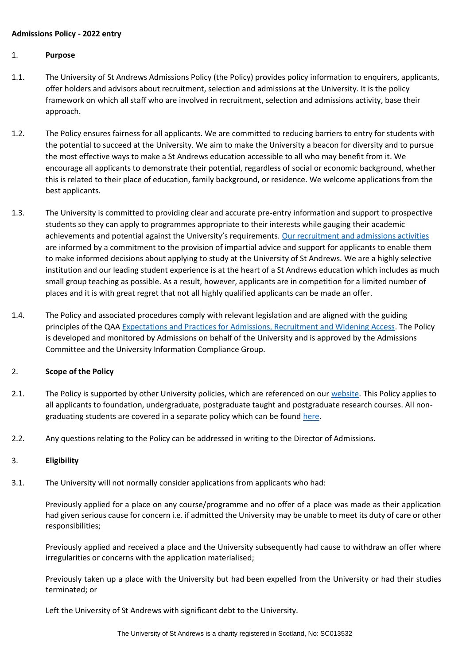## **Admissions Policy - 2022 entry**

## 1. **Purpose**

- 1.1. The University of St Andrews Admissions Policy (the Policy) provides policy information to enquirers, applicants, offer holders and advisors about recruitment, selection and admissions at the University. It is the policy framework on which all staff who are involved in recruitment, selection and admissions activity, base their approach.
- 1.2. The Policy ensures fairness for all applicants. We are committed to reducing barriers to entry for students with the potential to succeed at the University. We aim to make the University a beacon for diversity and to pursue the most effective ways to make a St Andrews education accessible to all who may benefit from it. We encourage all applicants to demonstrate their potential, regardless of social or economic background, whether this is related to their place of education, family background, or residence. We welcome applications from the best applicants.
- 1.3. The University is committed to providing clear and accurate pre-entry information and support to prospective students so they can apply to programmes appropriate to their interests while gauging their academic achievements and potential against the University's requirements. [Our recruitment and admissions activities](https://www.st-andrews.ac.uk/study/) are informed by a commitment to the provision of impartial advice and support for applicants to enable them to make informed decisions about applying to study at the University of St Andrews. We are a highly selective institution and our leading student experience is at the heart of a St Andrews education which includes as much small group teaching as possible. As a result, however, applicants are in competition for a limited number of places and it is with great regret that not all highly qualified applicants can be made an offer.
- 1.4. The Policy and associated procedures comply with relevant legislation and are aligned with the guiding principles of the QAA [Expectations and Practices for Admissions, Recruitment and Widening Access.](https://www.qaa.ac.uk/en/quality-code/advice-and-guidance/admissions-recruitment-and-widening-access) The Policy is developed and monitored by Admissions on behalf of the University and is approved by the Admissions Committee and the University Information Compliance Group.

## 2. **Scope of the Policy**

- 2.1. The Policy is supported by other University policies, which are referenced on our [website.](https://www.st-andrews.ac.uk/study/policy/) This Policy applies to all applicants to foundation, undergraduate, postgraduate taught and postgraduate research courses. All nongraduating students are covered in a separate policy which can be found [here.](https://www.st-andrews.ac.uk/policy/student-administration-admissions/exchange-and-study-abroad-student-policy.pdf)
- 2.2. Any questions relating to the Policy can be addressed in writing to the Director of Admissions.

## 3. **Eligibility**

3.1. The University will not normally consider applications from applicants who had:

Previously applied for a place on any course/programme and no offer of a place was made as their application had given serious cause for concern i.e. if admitted the University may be unable to meet its duty of care or other responsibilities;

Previously applied and received a place and the University subsequently had cause to withdraw an offer where irregularities or concerns with the application materialised;

Previously taken up a place with the University but had been expelled from the University or had their studies terminated; or

Left the University of St Andrews with significant debt to the University.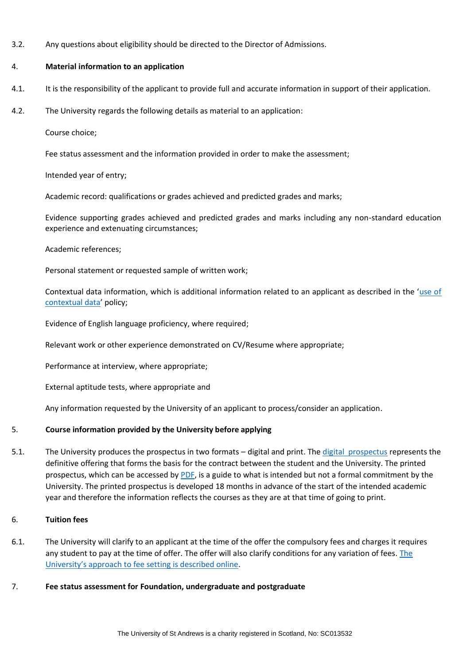3.2. Any questions about eligibility should be directed to the Director of Admissions.

## 4. **Material information to an application**

- 4.1. It is the responsibility of the applicant to provide full and accurate information in support of their application.
- 4.2. The University regards the following details as material to an application:

Course choice;

Fee status assessment and the information provided in order to make the assessment;

Intended year of entry;

Academic record: qualifications or grades achieved and predicted grades and marks;

Evidence supporting grades achieved and predicted grades and marks including any non-standard education experience and extenuating circumstances;

## Academic references;

Personal statement or requested sample of written work;

Contextual data information, which is additional information related to an applicant as described in the '[use of](https://www.st-andrews.ac.uk/study/policy/contextual-data/)  [contextual data](https://www.st-andrews.ac.uk/study/policy/contextual-data/)' policy;

Evidence of English language proficiency, where required;

Relevant work or other experience demonstrated on CV/Resume where appropriate;

Performance at interview, where appropriate;

External aptitude tests, where appropriate and

Any information requested by the University of an applicant to process/consider an application.

# 5. **Course information provided by the University before applying**

5.1. The University produces the prospectus in two formats – digital and print. The [digital prospectus](https://www.st-andrews.ac.uk/subjects/) represents the definitive offering that forms the basis for the contract between the student and the University. The printed prospectus, which can be accessed by [PDF,](https://www.st-andrews.ac.uk/study/prospectus/) is a guide to what is intended but not a formal commitment by the University. The printed prospectus is developed 18 months in advance of the start of the intended academic year and therefore the information reflects the courses as they are at that time of going to print.

# 6. **Tuition fees**

6.1. The University will clarify to an applicant at the time of the offer the compulsory fees and charges it requires any student to pay at the time of offer. The offer will also clarify conditions for any variation of fees. [The](https://www.st-andrews.ac.uk/media/teaching-and-learning/policies/fee-setting-protocol.pdf)  [University's approach to fee setting is described online](https://www.st-andrews.ac.uk/media/teaching-and-learning/policies/fee-setting-protocol.pdf).

## 7. **Fee status assessment for Foundation, undergraduate and postgraduate**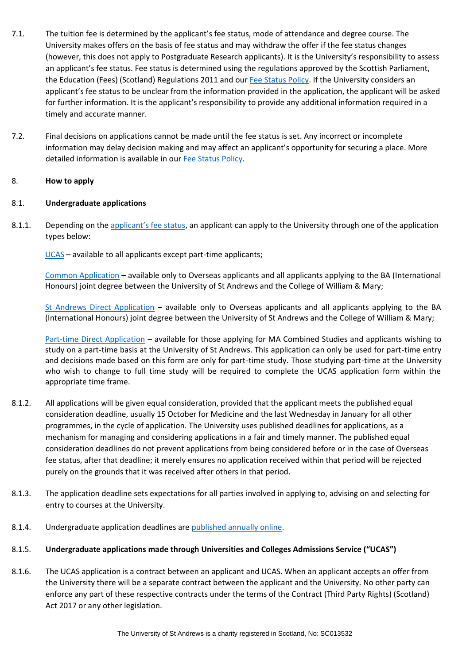- 7.1. The tuition fee is determined by the applicant's fee status, mode of attendance and degree course. The University makes offers on the basis of fee status and may withdraw the offer if the fee status changes (however, this does not apply to Postgraduate Research applicants). It is the University's responsibility to assess an applicant's fee status. Fee status is determined using the regulations approved by the Scottish Parliament, the Education (Fees) (Scotland) Regulations 2011 and our [Fee Status Policy.](https://www.st-andrews.ac.uk/policy/student-administration-tuition-fees/fee-status-policy.pdf) If the University considers an applicant's fee status to be unclear from the information provided in the application, the applicant will be asked for further information. It is the applicant's responsibility to provide any additional information required in a timely and accurate manner.
- 7.2. Final decisions on applications cannot be made until the fee status is set. Any incorrect or incomplete information may delay decision making and may affect an applicant's opportunity for securing a place. More detailed information is available in our [Fee Status Policy.](https://www.st-andrews.ac.uk/policy/student-administration-tuition-fees/fee-status-policy.pdf)

# 8. **How to apply**

# 8.1. **Undergraduate applications**

8.1.1. Depending on the [applicant's fee status](https://www.st-andrews.ac.uk/study/policy/fee-status/), an applicant can apply to the University through one of the application types below:

[UCAS](https://www.st-andrews.ac.uk/study/apply/ug/ucas/) – available to all applicants except part-time applicants;

[Common Application](https://www.st-andrews.ac.uk/study/apply/ug/common/) – available only to Overseas applicants and all applicants applying to the BA (International Honours) joint degree between the University of St Andrews and the College of William & Mary;

[St Andrews Direct Application](https://www.st-andrews.ac.uk/study/apply/ug/direct/) – available only to Overseas applicants and all applicants applying to the BA (International Honours) joint degree between the University of St Andrews and the College of William & Mary;

[Part-time Direct Application](https://www.st-andrews.ac.uk/assets/university/subjects/documents/study-options/Part-time%20study%20application%20form.pdf) – available for those applying for MA Combined Studies and applicants wishing to study on a part-time basis at the University of St Andrews. This application can only be used for part-time entry and decisions made based on this form are only for part-time study. Those studying part-time at the University who wish to change to full time study will be required to complete the UCAS application form within the appropriate time frame.

- 8.1.2. All applications will be given equal consideration, provided that the applicant meets the published equal consideration deadline, usually 15 October for Medicine and the last Wednesday in January for all other programmes, in the cycle of application. The University uses published deadlines for applications, as a mechanism for managing and considering applications in a fair and timely manner. The published equal consideration deadlines do not prevent applications from being considered before or in the case of Overseas fee status, after that deadline; it merely ensures no application received within that period will be rejected purely on the grounds that it was received after others in that period.
- 8.1.3. The application deadline sets expectations for all parties involved in applying to, advising on and selecting for entry to courses at the University.
- 8.1.4. Undergraduate application deadlines are [published annually online.](https://www.st-andrews.ac.uk/study/apply/ug/)
- 8.1.5. **Undergraduate applications made through Universities and Colleges Admissions Service ("UCAS")**
- 8.1.6. The UCAS application is a contract between an applicant and UCAS. When an applicant accepts an offer from the University there will be a separate contract between the applicant and the University. No other party can enforce any part of these respective contracts under the terms of the Contract (Third Party Rights) (Scotland) Act 2017 or any other legislation.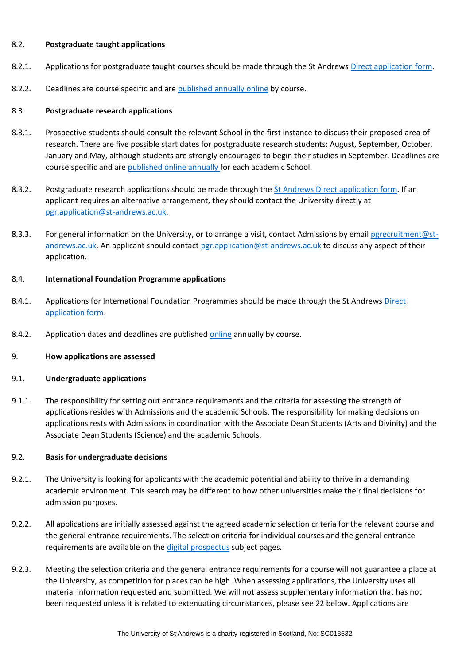#### 8.2. **Postgraduate taught applications**

- 8.2.1. Applications for postgraduate taught courses should be made through the St Andrews [Direct application form.](https://www.st-andrews.ac.uk/study/apply/postgraduate/taught/)
- 8.2.2. Deadlines are course specific and are [published annually online](https://www.st-andrews.ac.uk/subjects/study-options/pg/taught-programmes/) by course.

#### 8.3. **Postgraduate research applications**

- 8.3.1. Prospective students should consult the relevant School in the first instance to discuss their proposed area of research. There are five possible start dates for postgraduate research students: August, September, October, January and May, although students are strongly encouraged to begin their studies in September. Deadlines are course specific and are [published online annually f](https://www.st-andrews.ac.uk/study/apply/postgraduate/research/)or each academic School.
- 8.3.2. Postgraduate research applications should be made through the [St Andrews Direct application form.](https://www.st-andrews.ac.uk/study/apply/postgraduate/research/) If an applicant requires an alternative arrangement, they should contact the University directly at [pgr.application@st-andrews.ac.uk.](mailto:pgr.application@st-andrews.ac.uk)
- 8.3.3. For general information on the University, or to arrange a visit, contact Admissions by email [pgrecruitment@st](mailto:pgrecruitment@st-andrews.ac.uk)[andrews.ac.uk.](mailto:pgrecruitment@st-andrews.ac.uk) An applicant should contact [pgr.application@st-andrews.ac.uk](mailto:pgr.application@st-andrews.ac.uk) to discuss any aspect of their application.

#### 8.4. **International Foundation Programme applications**

- 8.4.1. Applications for International Foundation Programmes should be made through the St Andrews [Direct](https://www.st-andrews.ac.uk/subjects/study-options/foundation/apply/)  [application form.](https://www.st-andrews.ac.uk/subjects/study-options/foundation/apply/)
- 8.4.2. Application dates and deadlines are published [online](https://www.st-andrews.ac.uk/subjects/study-options/foundation/programmes/) annually by course.
- 9. **How applications are assessed**

#### 9.1. **Undergraduate applications**

9.1.1. The responsibility for setting out entrance requirements and the criteria for assessing the strength of applications resides with Admissions and the academic Schools. The responsibility for making decisions on applications rests with Admissions in coordination with the Associate Dean Students (Arts and Divinity) and the Associate Dean Students (Science) and the academic Schools.

## 9.2. **Basis for undergraduate decisions**

- 9.2.1. The University is looking for applicants with the academic potential and ability to thrive in a demanding academic environment. This search may be different to how other universities make their final decisions for admission purposes.
- 9.2.2. All applications are initially assessed against the agreed academic selection criteria for the relevant course and the general entrance requirements. The selection criteria for individual courses and the general entrance requirements are available on the [digital prospectus](https://www.st-andrews.ac.uk/study/prospectus/ug-prospectus/) subject pages.
- 9.2.3. Meeting the selection criteria and the general entrance requirements for a course will not guarantee a place at the University, as competition for places can be high. When assessing applications, the University uses all material information requested and submitted. We will not assess supplementary information that has not been requested unless it is related to extenuating circumstances, please see 22 below. Applications are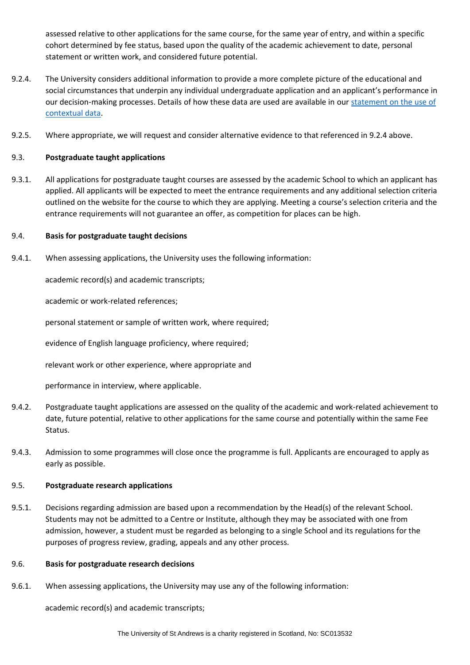assessed relative to other applications for the same course, for the same year of entry, and within a specific cohort determined by fee status, based upon the quality of the academic achievement to date, personal statement or written work, and considered future potential.

- 9.2.4. The University considers additional information to provide a more complete picture of the educational and social circumstances that underpin any individual undergraduate application and an applicant's performance in our decision-making processes. Details of how these data are used are available in our [statement on the use of](https://www.st-andrews.ac.uk/study/policy/contextual-data/)  [contextual data.](https://www.st-andrews.ac.uk/study/policy/contextual-data/)
- 9.2.5. Where appropriate, we will request and consider alternative evidence to that referenced in 9.2.4 above.

# 9.3. **Postgraduate taught applications**

9.3.1. All applications for postgraduate taught courses are assessed by the academic School to which an applicant has applied. All applicants will be expected to meet the entrance requirements and any additional selection criteria outlined on the website for the course to which they are applying. Meeting a course's selection criteria and the entrance requirements will not guarantee an offer, as competition for places can be high.

# 9.4. **Basis for postgraduate taught decisions**

9.4.1. When assessing applications, the University uses the following information:

academic record(s) and academic transcripts;

academic or work-related references;

personal statement or sample of written work, where required;

evidence of English language proficiency, where required;

relevant work or other experience, where appropriate and

performance in interview, where applicable.

- 9.4.2. Postgraduate taught applications are assessed on the quality of the academic and work-related achievement to date, future potential, relative to other applications for the same course and potentially within the same Fee Status.
- 9.4.3. Admission to some programmes will close once the programme is full. Applicants are encouraged to apply as early as possible.

## 9.5. **Postgraduate research applications**

9.5.1. Decisions regarding admission are based upon a recommendation by the Head(s) of the relevant School. Students may not be admitted to a Centre or Institute, although they may be associated with one from admission, however, a student must be regarded as belonging to a single School and its regulations for the purposes of progress review, grading, appeals and any other process.

## 9.6. **Basis for postgraduate research decisions**

9.6.1. When assessing applications, the University may use any of the following information:

academic record(s) and academic transcripts;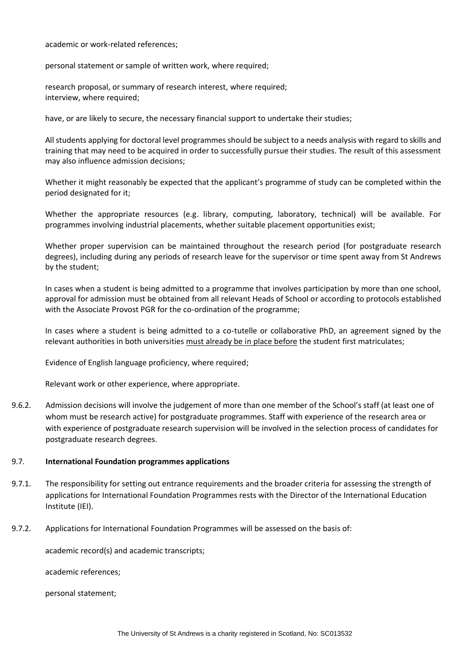academic or work-related references;

personal statement or sample of written work, where required;

research proposal, or summary of research interest, where required; interview, where required;

have, or are likely to secure, the necessary financial support to undertake their studies;

All students applying for doctoral level programmes should be subject to a needs analysis with regard to skills and training that may need to be acquired in order to successfully pursue their studies. The result of this assessment may also influence admission decisions;

Whether it might reasonably be expected that the applicant's programme of study can be completed within the period designated for it;

Whether the appropriate resources (e.g. library, computing, laboratory, technical) will be available. For programmes involving industrial placements, whether suitable placement opportunities exist;

Whether proper supervision can be maintained throughout the research period (for postgraduate research degrees), including during any periods of research leave for the supervisor or time spent away from St Andrews by the student;

In cases when a student is being admitted to a programme that involves participation by more than one school, approval for admission must be obtained from all relevant Heads of School or according to protocols established with the Associate Provost PGR for the co-ordination of the programme;

In cases where a student is being admitted to a co-tutelle or collaborative PhD, an agreement signed by the relevant authorities in both universities must already be in place before the student first matriculates;

Evidence of English language proficiency, where required;

Relevant work or other experience, where appropriate.

9.6.2. Admission decisions will involve the judgement of more than one member of the School's staff (at least one of whom must be research active) for postgraduate programmes. Staff with experience of the research area or with experience of postgraduate research supervision will be involved in the selection process of candidates for postgraduate research degrees.

## 9.7. **International Foundation programmes applications**

- 9.7.1. The responsibility for setting out entrance requirements and the broader criteria for assessing the strength of applications for International Foundation Programmes rests with the Director of the International Education Institute (IEI).
- 9.7.2. Applications for International Foundation Programmes will be assessed on the basis of:

academic record(s) and academic transcripts;

academic references;

personal statement;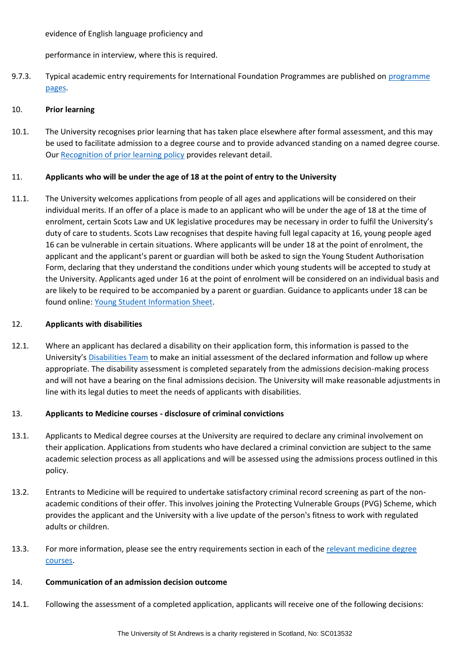evidence of English language proficiency and

performance in interview, where this is required.

9.7.3. Typical academic entry requirements for International Foundation Programmes are published on programme [pages.](https://www.st-andrews.ac.uk/subjects/study-options/foundation/programmes/)

# 10. **Prior learning**

10.1. The University recognises prior learning that has taken place elsewhere after formal assessment, and this may be used to facilitate admission to a degree course and to provide advanced standing on a named degree course. Our [Recognition of prior learning policy](https://www.st-andrews.ac.uk/assets/university/study-at-st-andrews/documents/recognition-of-prior-learning.pdf) provides relevant detail.

# 11. **Applicants who will be under the age of 18 at the point of entry to the University**

11.1. The University welcomes applications from people of all ages and applications will be considered on their individual merits. If an offer of a place is made to an applicant who will be under the age of 18 at the time of enrolment, certain Scots Law and UK legislative procedures may be necessary in order to fulfil the University's duty of care to students. Scots Law recognises that despite having full legal capacity at 16, young people aged 16 can be vulnerable in certain situations. Where applicants will be under 18 at the point of enrolment, the applicant and the applicant's parent or guardian will both be asked to sign the Young Student Authorisation Form, declaring that they understand the conditions under which young students will be accepted to study at the University. Applicants aged under 16 at the point of enrolment will be considered on an individual basis and are likely to be required to be accompanied by a parent or guardian. Guidance to applicants under 18 can be found online: [Young Student Information Sheet.](https://www.st-andrews.ac.uk/media/human-resources/new-policy-section-documents/safeguarding/Student%20authorisation%20form.docx)

# 12. **Applicants with disabilities**

12.1. Where an applicant has declared a disability on their application form, this information is passed to the University's [Disabilities Team](https://www.st-andrews.ac.uk/study/support/students-with-disabilities/) to make an initial assessment of the declared information and follow up where appropriate. The disability assessment is completed separately from the admissions decision-making process and will not have a bearing on the final admissions decision. The University will make reasonable adjustments in line with its legal duties to meet the needs of applicants with disabilities.

# 13. **Applicants to Medicine courses - disclosure of criminal convictions**

- 13.1. Applicants to Medical degree courses at the University are required to declare any criminal involvement on their application. Applications from students who have declared a criminal conviction are subject to the same academic selection process as all applications and will be assessed using the admissions process outlined in this policy.
- 13.2. Entrants to Medicine will be required to undertake satisfactory criminal record screening as part of the nonacademic conditions of their offer. This involves joining the Protecting Vulnerable Groups (PVG) Scheme, which provides the applicant and the University with a live update of the person's fitness to work with regulated adults or children.
- 13.3. For more information, please see the entry requirements section in each of the relevant medicine degree [courses.](https://www.st-andrews.ac.uk/subjects/medicine/)

## 14. **Communication of an admission decision outcome**

14.1. Following the assessment of a completed application, applicants will receive one of the following decisions: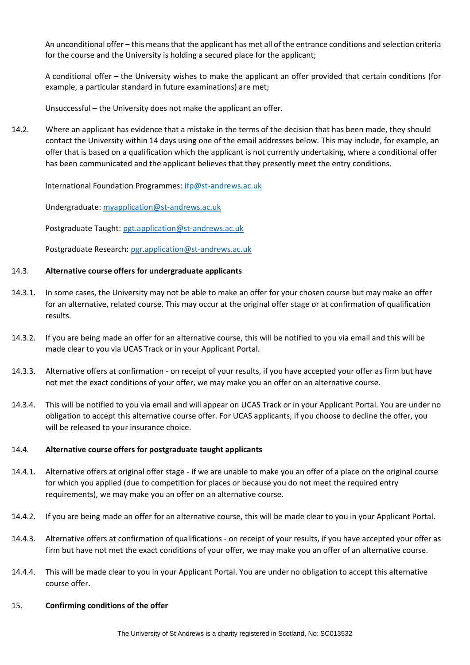An unconditional offer – this means that the applicant has met all of the entrance conditions and selection criteria for the course and the University is holding a secured place for the applicant;

A conditional offer – the University wishes to make the applicant an offer provided that certain conditions (for example, a particular standard in future examinations) are met;

Unsuccessful – the University does not make the applicant an offer.

14.2. Where an applicant has evidence that a mistake in the terms of the decision that has been made, they should contact the University within 14 days using one of the email addresses below. This may include, for example, an offer that is based on a qualification which the applicant is not currently undertaking, where a conditional offer has been communicated and the applicant believes that they presently meet the entry conditions.

International Foundation Programmes: [ifp@st-andrews.ac.uk](mailto:ifp@st-andrews.ac.uk)

Undergraduate: [myapplication@st-andrews.ac.uk](mailto:myapplication@st-andrews.ac.uk)

Postgraduate Taught: [pgt.application@st-andrews.ac.uk](mailto:pgt.application@st-andrews.ac.uk)

Postgraduate Research[: pgr.application@st-andrews.ac.uk](mailto:pgr.application@st-andrews.ac.uk)

## 14.3. **Alternative course offers for undergraduate applicants**

- 14.3.1. In some cases, the University may not be able to make an offer for your chosen course but may make an offer for an alternative, related course. This may occur at the original offer stage or at confirmation of qualification results.
- 14.3.2. If you are being made an offer for an alternative course, this will be notified to you via email and this will be made clear to you via UCAS Track or in your Applicant Portal.
- 14.3.3. Alternative offers at confirmation on receipt of your results, if you have accepted your offer as firm but have not met the exact conditions of your offer, we may make you an offer on an alternative course.
- 14.3.4. This will be notified to you via email and will appear on UCAS Track or in your Applicant Portal. You are under no obligation to accept this alternative course offer. For UCAS applicants, if you choose to decline the offer, you will be released to your insurance choice.

## 14.4. **Alternative course offers for postgraduate taught applicants**

- 14.4.1. Alternative offers at original offer stage if we are unable to make you an offer of a place on the original course for which you applied (due to competition for places or because you do not meet the required entry requirements), we may make you an offer on an alternative course.
- 14.4.2. If you are being made an offer for an alternative course, this will be made clear to you in your Applicant Portal.
- 14.4.3. Alternative offers at confirmation of qualifications on receipt of your results, if you have accepted your offer as firm but have not met the exact conditions of your offer, we may make you an offer of an alternative course.
- 14.4.4. This will be made clear to you in your Applicant Portal. You are under no obligation to accept this alternative course offer.

## 15. **Confirming conditions of the offer**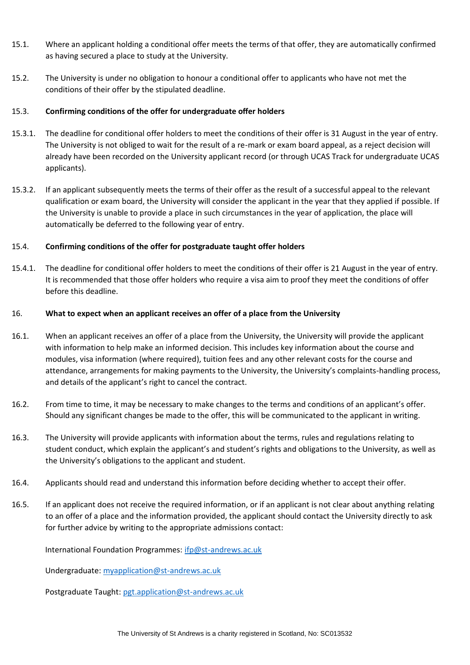- 15.1. Where an applicant holding a conditional offer meets the terms of that offer, they are automatically confirmed as having secured a place to study at the University.
- 15.2. The University is under no obligation to honour a conditional offer to applicants who have not met the conditions of their offer by the stipulated deadline.

## 15.3. **Confirming conditions of the offer for undergraduate offer holders**

- 15.3.1. The deadline for conditional offer holders to meet the conditions of their offer is 31 August in the year of entry. The University is not obliged to wait for the result of a re-mark or exam board appeal, as a reject decision will already have been recorded on the University applicant record (or through UCAS Track for undergraduate UCAS applicants).
- 15.3.2. If an applicant subsequently meets the terms of their offer as the result of a successful appeal to the relevant qualification or exam board, the University will consider the applicant in the year that they applied if possible. If the University is unable to provide a place in such circumstances in the year of application, the place will automatically be deferred to the following year of entry.

# 15.4. **Confirming conditions of the offer for postgraduate taught offer holders**

15.4.1. The deadline for conditional offer holders to meet the conditions of their offer is 21 August in the year of entry. It is recommended that those offer holders who require a visa aim to proof they meet the conditions of offer before this deadline.

## 16. **What to expect when an applicant receives an offer of a place from the University**

- 16.1. When an applicant receives an offer of a place from the University, the University will provide the applicant with information to help make an informed decision. This includes key information about the course and modules, visa information (where required), tuition fees and any other relevant costs for the course and attendance, arrangements for making payments to the University, the University's complaints-handling process, and details of the applicant's right to cancel the contract.
- 16.2. From time to time, it may be necessary to make changes to the terms and conditions of an applicant's offer. Should any significant changes be made to the offer, this will be communicated to the applicant in writing.
- 16.3. The University will provide applicants with information about the terms, rules and regulations relating to student conduct, which explain the applicant's and student's rights and obligations to the University, as well as the University's obligations to the applicant and student.
- 16.4. Applicants should read and understand this information before deciding whether to accept their offer.
- 16.5. If an applicant does not receive the required information, or if an applicant is not clear about anything relating to an offer of a place and the information provided, the applicant should contact the University directly to ask for further advice by writing to the appropriate admissions contact:

International Foundation Programmes: [ifp@st-andrews.ac.uk](mailto:ifp@st-andrews.ac.uk)

Undergraduate: [myapplication@st-andrews.ac.uk](mailto:myapplication@st-andrews.ac.uk)

Postgraduate Taught: [pgt.application@st-andrews.ac.uk](mailto:pgt.application@st-andrews.ac.uk)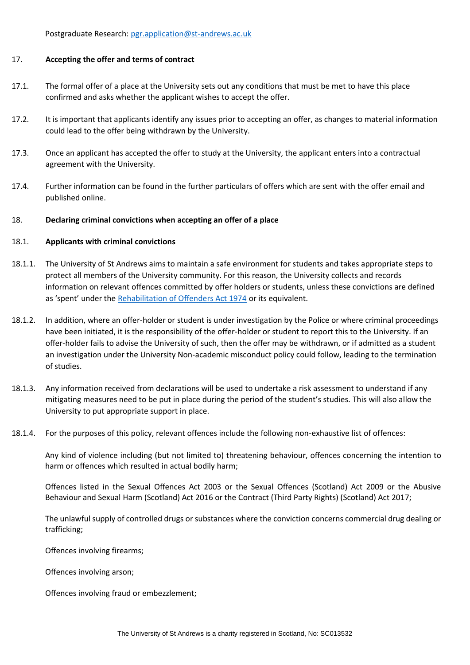Postgraduate Research[: pgr.application@st-andrews.ac.uk](mailto:pgr.application@st-andrews.ac.uk)

#### 17. **Accepting the offer and terms of contract**

- 17.1. The formal offer of a place at the University sets out any conditions that must be met to have this place confirmed and asks whether the applicant wishes to accept the offer.
- 17.2. It is important that applicants identify any issues prior to accepting an offer, as changes to material information could lead to the offer being withdrawn by the University.
- 17.3. Once an applicant has accepted the offer to study at the University, the applicant enters into a contractual agreement with the University.
- 17.4. Further information can be found in the further particulars of offers which are sent with the offer email and published online.

## 18. **Declaring criminal convictions when accepting an offer of a place**

#### 18.1. **Applicants with criminal convictions**

- 18.1.1. The University of St Andrews aims to maintain a safe environment for students and takes appropriate steps to protect all members of the University community. For this reason, the University collects and records information on relevant offences committed by offer holders or students, unless these convictions are defined as 'spent' under the [Rehabilitation of Offenders Act 1974](https://www.nacro.org.uk/criminal-record-support-service/support-for-individuals/disclosing-criminal-records/rehabilitation-offenders-act/) or its equivalent.
- 18.1.2. In addition, where an offer-holder or student is under investigation by the Police or where criminal proceedings have been initiated, it is the responsibility of the offer-holder or student to report this to the University. If an offer-holder fails to advise the University of such, then the offer may be withdrawn, or if admitted as a student an investigation under the University Non-academic misconduct policy could follow, leading to the termination of studies.
- 18.1.3. Any information received from declarations will be used to undertake a risk assessment to understand if any mitigating measures need to be put in place during the period of the student's studies. This will also allow the University to put appropriate support in place.
- 18.1.4. For the purposes of this policy, relevant offences include the following non-exhaustive list of offences:

Any kind of violence including (but not limited to) threatening behaviour, offences concerning the intention to harm or offences which resulted in actual bodily harm;

Offences listed in the Sexual Offences Act 2003 or the Sexual Offences (Scotland) Act 2009 or the Abusive Behaviour and Sexual Harm (Scotland) Act 2016 or the Contract (Third Party Rights) (Scotland) Act 2017;

The unlawful supply of controlled drugs or substances where the conviction concerns commercial drug dealing or trafficking;

Offences involving firearms;

Offences involving arson;

Offences involving fraud or embezzlement;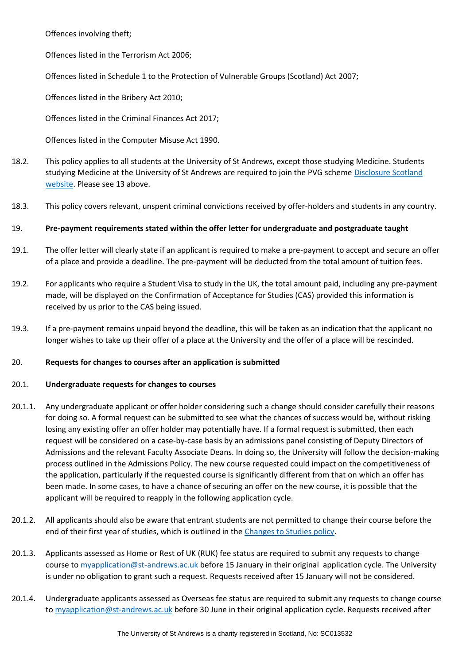Offences involving theft;

Offences listed in the Terrorism Act 2006;

Offences listed in Schedule 1 to the Protection of Vulnerable Groups (Scotland) Act 2007;

Offences listed in the Bribery Act 2010;

Offences listed in the Criminal Finances Act 2017;

Offences listed in the Computer Misuse Act 1990.

- 18.2. This policy applies to all students at the University of St Andrews, except those studying Medicine. Students studying Medicine at the University of St Andrews are required to join the PVG schem[e Disclosure Scotland](https://www.mygov.scot/disclosure-types/?via=http://www.disclosurescotland.co.uk/)  [website.](https://www.mygov.scot/disclosure-types/?via=http://www.disclosurescotland.co.uk/) Please see 13 above.
- 18.3. This policy covers relevant, unspent criminal convictions received by offer-holders and students in any country.

# 19. **Pre-payment requirements stated within the offer letter for undergraduate and postgraduate taught**

- 19.1. The offer letter will clearly state if an applicant is required to make a pre-payment to accept and secure an offer of a place and provide a deadline. The pre-payment will be deducted from the total amount of tuition fees.
- 19.2. For applicants who require a Student Visa to study in the UK, the total amount paid, including any pre-payment made, will be displayed on the Confirmation of Acceptance for Studies (CAS) provided this information is received by us prior to the CAS being issued.
- 19.3. If a pre-payment remains unpaid beyond the deadline, this will be taken as an indication that the applicant no longer wishes to take up their offer of a place at the University and the offer of a place will be rescinded.

## 20. **Requests for changes to courses after an application is submitted**

# 20.1. **Undergraduate requests for changes to courses**

- 20.1.1. Any undergraduate applicant or offer holder considering such a change should consider carefully their reasons for doing so. A formal request can be submitted to see what the chances of success would be, without risking losing any existing offer an offer holder may potentially have. If a formal request is submitted, then each request will be considered on a case-by-case basis by an admissions panel consisting of Deputy Directors of Admissions and the relevant Faculty Associate Deans. In doing so, the University will follow the decision-making process outlined in the Admissions Policy. The new course requested could impact on the competitiveness of the application, particularly if the requested course is significantly different from that on which an offer has been made. In some cases, to have a chance of securing an offer on the new course, it is possible that the applicant will be required to reapply in the following application cycle.
- 20.1.2. All applicants should also be aware that entrant students are not permitted to change their course before the end of their first year of studies, which is outlined in the [Changes to Studies policy.](https://www.st-andrews.ac.uk/media/proctor/documents/changes-studies.pdf)
- 20.1.3. Applicants assessed as Home or Rest of UK (RUK) fee status are required to submit any requests to change course to [myapplication@st-andrews.ac.uk](mailto:myapplication@st-andrews.ac.uk) before 15 January in their original application cycle. The University is under no obligation to grant such a request. Requests received after 15 January will not be considered.
- 20.1.4. Undergraduate applicants assessed as Overseas fee status are required to submit any requests to change course t[o myapplication@st-andrews.ac.uk](mailto:myapplication@st-andrews.ac.uk) before 30 June in their original application cycle. Requests received after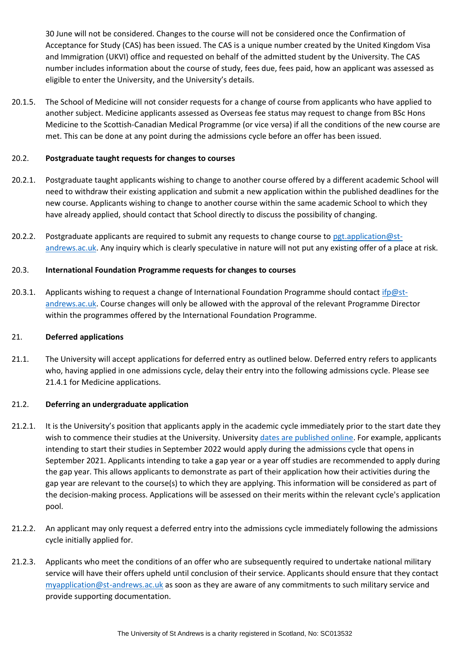30 June will not be considered. Changes to the course will not be considered once the Confirmation of Acceptance for Study (CAS) has been issued. The CAS is a unique number created by the United Kingdom Visa and Immigration (UKVI) office and requested on behalf of the admitted student by the University. The CAS number includes information about the course of study, fees due, fees paid, how an applicant was assessed as eligible to enter the University, and the University's details.

20.1.5. The School of Medicine will not consider requests for a change of course from applicants who have applied to another subject. Medicine applicants assessed as Overseas fee status may request to change from BSc Hons Medicine to the Scottish-Canadian Medical Programme (or vice versa) if all the conditions of the new course are met. This can be done at any point during the admissions cycle before an offer has been issued.

## 20.2. **Postgraduate taught requests for changes to courses**

- 20.2.1. Postgraduate taught applicants wishing to change to another course offered by a different academic School will need to withdraw their existing application and submit a new application within the published deadlines for the new course. Applicants wishing to change to another course within the same academic School to which they have already applied, should contact that School directly to discuss the possibility of changing.
- 20.2.2. Postgraduate applicants are required to submit any requests to change course to [pgt.application@st](mailto:pgt.application@st-andrews.ac.uk)[andrews.ac.uk.](mailto:pgt.application@st-andrews.ac.uk) Any inquiry which is clearly speculative in nature will not put any existing offer of a place at risk.

## 20.3. **International Foundation Programme requests for changes to courses**

20.3.1. Applicants wishing to request a change of International Foundation Programme should contact [ifp@st](mailto:ifp@st-andrews.ac.uk)[andrews.ac.uk.](mailto:ifp@st-andrews.ac.uk) Course changes will only be allowed with the approval of the relevant Programme Director within the programmes offered by the International Foundation Programme.

## 21. **Deferred applications**

21.1. The University will accept applications for deferred entry as outlined below. Deferred entry refers to applicants who, having applied in one admissions cycle, delay their entry into the following admissions cycle. Please see 21.4.1 for Medicine applications.

## 21.2. **Deferring an undergraduate application**

- 21.2.1. It is the University's position that applicants apply in the academic cycle immediately prior to the start date they wish to commence their studies at the University. Universit[y dates are published online.](https://www.st-andrews.ac.uk/semester-dates/) For example, applicants intending to start their studies in September 2022 would apply during the admissions cycle that opens in September 2021. Applicants intending to take a gap year or a year off studies are recommended to apply during the gap year. This allows applicants to demonstrate as part of their application how their activities during the gap year are relevant to the course(s) to which they are applying. This information will be considered as part of the decision-making process. Applications will be assessed on their merits within the relevant cycle's application pool.
- 21.2.2. An applicant may only request a deferred entry into the admissions cycle immediately following the admissions cycle initially applied for.
- 21.2.3. Applicants who meet the conditions of an offer who are subsequently required to undertake national military service will have their offers upheld until conclusion of their service. Applicants should ensure that they contact [myapplication@st-andrews.ac.uk](mailto:myapplication@st-andrews.ac.uk) as soon as they are aware of any commitments to such military service and provide supporting documentation.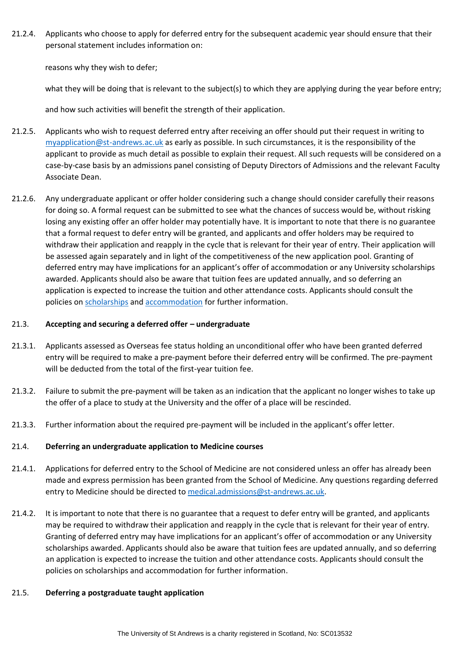21.2.4. Applicants who choose to apply for deferred entry for the subsequent academic year should ensure that their personal statement includes information on:

reasons why they wish to defer;

what they will be doing that is relevant to the subject(s) to which they are applying during the year before entry;

and how such activities will benefit the strength of their application.

- 21.2.5. Applicants who wish to request deferred entry after receiving an offer should put their request in writing to [myapplication@st-andrews.ac.uk](mailto:myapplication@st-andrews.ac.uk) as early as possible. In such circumstances, it is the responsibility of the applicant to provide as much detail as possible to explain their request. All such requests will be considered on a case-by-case basis by an admissions panel consisting of Deputy Directors of Admissions and the relevant Faculty Associate Dean.
- 21.2.6. Any undergraduate applicant or offer holder considering such a change should consider carefully their reasons for doing so. A formal request can be submitted to see what the chances of success would be, without risking losing any existing offer an offer holder may potentially have. It is important to note that there is no guarantee that a formal request to defer entry will be granted, and applicants and offer holders may be required to withdraw their application and reapply in the cycle that is relevant for their year of entry. Their application will be assessed again separately and in light of the competitiveness of the new application pool. Granting of deferred entry may have implications for an applicant's offer of accommodation or any University scholarships awarded. Applicants should also be aware that tuition fees are updated annually, and so deferring an application is expected to increase the tuition and other attendance costs. Applicants should consult the policies on [scholarships](https://www.st-andrews.ac.uk/study/fees-and-funding/undergraduate/financial-assistance/) and [accommodation](https://www.st-andrews.ac.uk/accommodation/ug/current/residents/documents/) for further information.

# 21.3. **Accepting and securing a deferred offer – undergraduate**

- 21.3.1. Applicants assessed as Overseas fee status holding an unconditional offer who have been granted deferred entry will be required to make a pre-payment before their deferred entry will be confirmed. The pre-payment will be deducted from the total of the first-year tuition fee.
- 21.3.2. Failure to submit the pre-payment will be taken as an indication that the applicant no longer wishes to take up the offer of a place to study at the University and the offer of a place will be rescinded.
- 21.3.3. Further information about the required pre-payment will be included in the applicant's offer letter.

## 21.4. **Deferring an undergraduate application to Medicine courses**

- 21.4.1. Applications for deferred entry to the School of Medicine are not considered unless an offer has already been made and express permission has been granted from the School of Medicine. Any questions regarding deferred entry to Medicine should be directed to [medical.admissions@st-andrews.ac.uk.](mailto:medical.admissions@st-andrews.ac.uk)
- 21.4.2. It is important to note that there is no guarantee that a request to defer entry will be granted, and applicants may be required to withdraw their application and reapply in the cycle that is relevant for their year of entry. Granting of deferred entry may have implications for an applicant's offer of accommodation or any University scholarships awarded. Applicants should also be aware that tuition fees are updated annually, and so deferring an application is expected to increase the tuition and other attendance costs. Applicants should consult the policies on scholarships and accommodation for further information.

# 21.5. **Deferring a postgraduate taught application**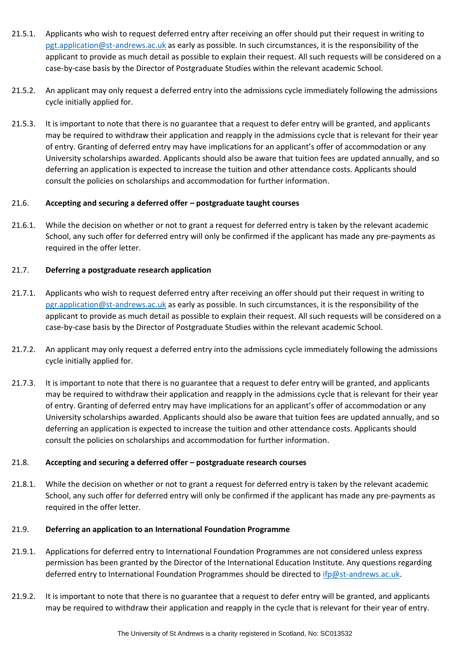- 21.5.1. Applicants who wish to request deferred entry after receiving an offer should put their request in writing to [pgt.application@st-andrews.ac.uk](mailto:pgt.application@st-andrews.ac.uk) as early as possible. In such circumstances, it is the responsibility of the applicant to provide as much detail as possible to explain their request. All such requests will be considered on a case-by-case basis by the Director of Postgraduate Studies within the relevant academic School.
- 21.5.2. An applicant may only request a deferred entry into the admissions cycle immediately following the admissions cycle initially applied for.
- 21.5.3. It is important to note that there is no guarantee that a request to defer entry will be granted, and applicants may be required to withdraw their application and reapply in the admissions cycle that is relevant for their year of entry. Granting of deferred entry may have implications for an applicant's offer of accommodation or any University scholarships awarded. Applicants should also be aware that tuition fees are updated annually, and so deferring an application is expected to increase the tuition and other attendance costs. Applicants should consult the policies on scholarships and accommodation for further information.

# 21.6. **Accepting and securing a deferred offer – postgraduate taught courses**

21.6.1. While the decision on whether or not to grant a request for deferred entry is taken by the relevant academic School, any such offer for deferred entry will only be confirmed if the applicant has made any pre-payments as required in the offer letter.

# 21.7. **Deferring a postgraduate research application**

- 21.7.1. Applicants who wish to request deferred entry after receiving an offer should put their request in writing to [pgr.application@st-andrews.ac.uk](mailto:pgr.application@st-andrews.ac.uk) as early as possible. In such circumstances, it is the responsibility of the applicant to provide as much detail as possible to explain their request. All such requests will be considered on a case-by-case basis by the Director of Postgraduate Studies within the relevant academic School.
- 21.7.2. An applicant may only request a deferred entry into the admissions cycle immediately following the admissions cycle initially applied for.
- 21.7.3. It is important to note that there is no guarantee that a request to defer entry will be granted, and applicants may be required to withdraw their application and reapply in the admissions cycle that is relevant for their year of entry. Granting of deferred entry may have implications for an applicant's offer of accommodation or any University scholarships awarded. Applicants should also be aware that tuition fees are updated annually, and so deferring an application is expected to increase the tuition and other attendance costs. Applicants should consult the policies on scholarships and accommodation for further information.

## 21.8. **Accepting and securing a deferred offer – postgraduate research courses**

21.8.1. While the decision on whether or not to grant a request for deferred entry is taken by the relevant academic School, any such offer for deferred entry will only be confirmed if the applicant has made any pre-payments as required in the offer letter.

## 21.9. **Deferring an application to an International Foundation Programme**

- 21.9.1. Applications for deferred entry to International Foundation Programmes are not considered unless express permission has been granted by the Director of the International Education Institute. Any questions regarding deferred entry to International Foundation Programmes should be directed to [ifp@st-andrews.ac.uk.](mailto:ifp@st-andrews.ac.uk)
- 21.9.2. It is important to note that there is no guarantee that a request to defer entry will be granted, and applicants may be required to withdraw their application and reapply in the cycle that is relevant for their year of entry.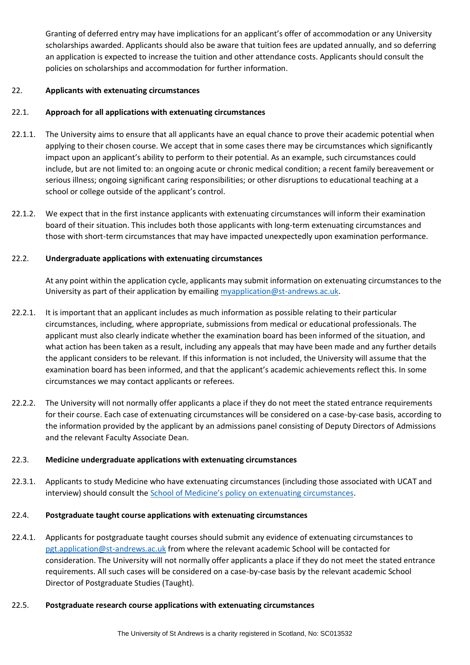Granting of deferred entry may have implications for an applicant's offer of accommodation or any University scholarships awarded. Applicants should also be aware that tuition fees are updated annually, and so deferring an application is expected to increase the tuition and other attendance costs. Applicants should consult the policies on scholarships and accommodation for further information.

## 22. **Applicants with extenuating circumstances**

# 22.1. **Approach for all applications with extenuating circumstances**

- 22.1.1. The University aims to ensure that all applicants have an equal chance to prove their academic potential when applying to their chosen course. We accept that in some cases there may be circumstances which significantly impact upon an applicant's ability to perform to their potential. As an example, such circumstances could include, but are not limited to: an ongoing acute or chronic medical condition; a recent family bereavement or serious illness; ongoing significant caring responsibilities; or other disruptions to educational teaching at a school or college outside of the applicant's control.
- 22.1.2. We expect that in the first instance applicants with extenuating circumstances will inform their examination board of their situation. This includes both those applicants with long-term extenuating circumstances and those with short-term circumstances that may have impacted unexpectedly upon examination performance.

# 22.2. **Undergraduate applications with extenuating circumstances**

At any point within the application cycle, applicants may submit information on extenuating circumstances to the University as part of their application by emailing [myapplication@st-andrews.ac.uk.](mailto:myapplication@st-andrews.ac.uk)

- 22.2.1. It is important that an applicant includes as much information as possible relating to their particular circumstances, including, where appropriate, submissions from medical or educational professionals. The applicant must also clearly indicate whether the examination board has been informed of the situation, and what action has been taken as a result, including any appeals that may have been made and any further details the applicant considers to be relevant. If this information is not included, the University will assume that the examination board has been informed, and that the applicant's academic achievements reflect this. In some circumstances we may contact applicants or referees.
- 22.2.2. The University will not normally offer applicants a place if they do not meet the stated entrance requirements for their course. Each case of extenuating circumstances will be considered on a case-by-case basis, according to the information provided by the applicant by an admissions panel consisting of Deputy Directors of Admissions and the relevant Faculty Associate Dean.

## 22.3. **Medicine undergraduate applications with extenuating circumstances**

22.3.1. Applicants to study Medicine who have extenuating circumstances (including those associated with UCAT and interview) should consult the School of Medicine's policy on extenuating circumstances.

# 22.4. **Postgraduate taught course applications with extenuating circumstances**

22.4.1. Applicants for postgraduate taught courses should submit any evidence of extenuating circumstances to [pgt.application@st-andrews.ac.uk](mailto:pgt.application@st-andrews.ac.uk) from where the relevant academic School will be contacted for consideration. The University will not normally offer applicants a place if they do not meet the stated entrance requirements. All such cases will be considered on a case-by-case basis by the relevant academic School Director of Postgraduate Studies (Taught).

## 22.5. **Postgraduate research course applications with extenuating circumstances**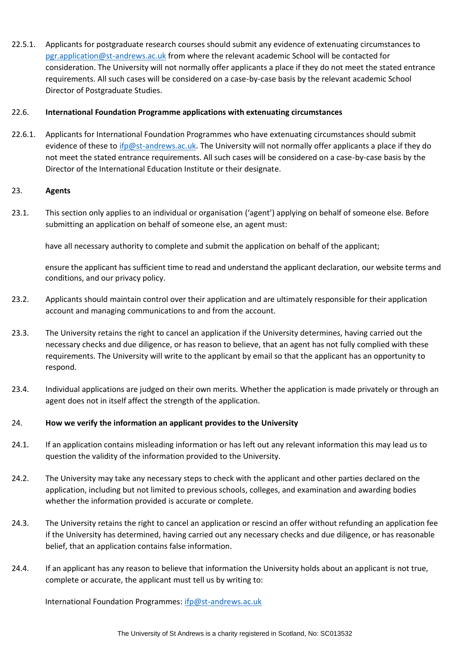22.5.1. Applicants for postgraduate research courses should submit any evidence of extenuating circumstances to [pgr.application@st-andrews.ac.uk](mailto:pgr.application@st-andrews.ac.uk) from where the relevant academic School will be contacted for consideration. The University will not normally offer applicants a place if they do not meet the stated entrance requirements. All such cases will be considered on a case-by-case basis by the relevant academic School Director of Postgraduate Studies.

## 22.6. **International Foundation Programme applications with extenuating circumstances**

22.6.1. Applicants for International Foundation Programmes who have extenuating circumstances should submit evidence of these to [ifp@st-andrews.ac.uk.](mailto:ifp@st-andrews.ac.uk) The University will not normally offer applicants a place if they do not meet the stated entrance requirements. All such cases will be considered on a case-by-case basis by the Director of the International Education Institute or their designate.

#### 23. **Agents**

23.1. This section only applies to an individual or organisation ('agent') applying on behalf of someone else. Before submitting an application on behalf of someone else, an agent must:

have all necessary authority to complete and submit the application on behalf of the applicant;

ensure the applicant has sufficient time to read and understand the applicant declaration, our website terms and conditions, and our privacy policy.

- 23.2. Applicants should maintain control over their application and are ultimately responsible for their application account and managing communications to and from the account.
- 23.3. The University retains the right to cancel an application if the University determines, having carried out the necessary checks and due diligence, or has reason to believe, that an agent has not fully complied with these requirements. The University will write to the applicant by email so that the applicant has an opportunity to respond.
- 23.4. Individual applications are judged on their own merits. Whether the application is made privately or through an agent does not in itself affect the strength of the application.

#### 24. **How we verify the information an applicant provides to the University**

- 24.1. If an application contains misleading information or has left out any relevant information this may lead us to question the validity of the information provided to the University.
- 24.2. The University may take any necessary steps to check with the applicant and other parties declared on the application, including but not limited to previous schools, colleges, and examination and awarding bodies whether the information provided is accurate or complete.
- 24.3. The University retains the right to cancel an application or rescind an offer without refunding an application fee if the University has determined, having carried out any necessary checks and due diligence, or has reasonable belief, that an application contains false information.
- 24.4. If an applicant has any reason to believe that information the University holds about an applicant is not true, complete or accurate, the applicant must tell us by writing to:

International Foundation Programmes: [ifp@st-andrews.ac.uk](mailto:ifp@st-andrews.ac.uk)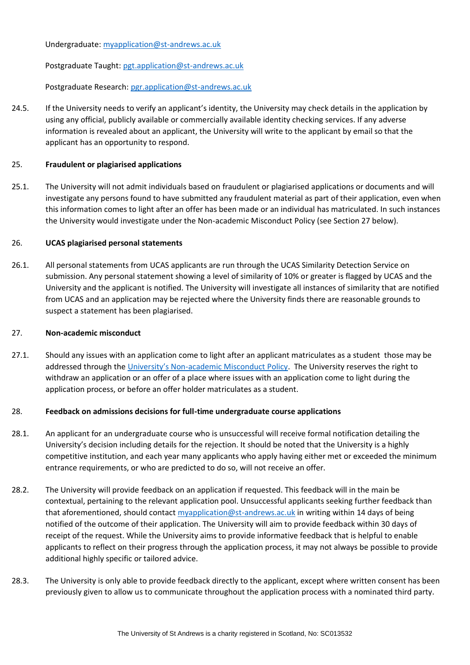Undergraduate: [myapplication@st-andrews.ac.uk](mailto:myapplication@st-andrews.ac.uk)

Postgraduate Taught: [pgt.application@st-andrews.ac.uk](mailto:pgt.application@st-andrews.ac.uk)

Postgraduate Research[: pgr.application@st-andrews.ac.uk](mailto:pgr.application@st-andrews.ac.uk)

24.5. If the University needs to verify an applicant's identity, the University may check details in the application by using any official, publicly available or commercially available identity checking services. If any adverse information is revealed about an applicant, the University will write to the applicant by email so that the applicant has an opportunity to respond.

## 25. **Fraudulent or plagiarised applications**

25.1. The University will not admit individuals based on fraudulent or plagiarised applications or documents and will investigate any persons found to have submitted any fraudulent material as part of their application, even when this information comes to light after an offer has been made or an individual has matriculated. In such instances the University would investigate under the Non-academic Misconduct Policy (see Section 27 below).

#### 26. **UCAS plagiarised personal statements**

26.1. All personal statements from UCAS applicants are run through the UCAS Similarity Detection Service on submission. Any personal statement showing a level of similarity of 10% or greater is flagged by UCAS and the University and the applicant is notified. The University will investigate all instances of similarity that are notified from UCAS and an application may be rejected where the University finds there are reasonable grounds to suspect a statement has been plagiarised.

#### 27. **Non-academic misconduct**

27.1. Should any issues with an application come to light after an applicant matriculates as a student those may be addressed through the University's Non[-academic Misconduct Policy.](https://www.st-andrews.ac.uk/policy/index.php) The University reserves the right to withdraw an application or an offer of a place where issues with an application come to light during the application process, or before an offer holder matriculates as a student.

## 28. **Feedback on admissions decisions for full-time undergraduate course applications**

- 28.1. An applicant for an undergraduate course who is unsuccessful will receive formal notification detailing the University's decision including details for the rejection. It should be noted that the University is a highly competitive institution, and each year many applicants who apply having either met or exceeded the minimum entrance requirements, or who are predicted to do so, will not receive an offer.
- 28.2. The University will provide feedback on an application if requested. This feedback will in the main be contextual, pertaining to the relevant application pool. Unsuccessful applicants seeking further feedback than that aforementioned, should contact [myapplication@st-andrews.ac.uk](mailto:myapplication@st-andrews.ac.uk) in writing within 14 days of being notified of the outcome of their application. The University will aim to provide feedback within 30 days of receipt of the request. While the University aims to provide informative feedback that is helpful to enable applicants to reflect on their progress through the application process, it may not always be possible to provide additional highly specific or tailored advice.
- 28.3. The University is only able to provide feedback directly to the applicant, except where written consent has been previously given to allow us to communicate throughout the application process with a nominated third party.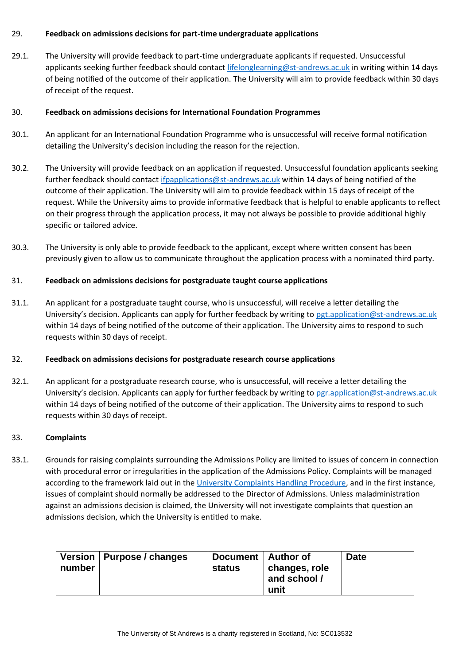## 29. **Feedback on admissions decisions for part-time undergraduate applications**

29.1. The University will provide feedback to part-time undergraduate applicants if requested. Unsuccessful applicants seeking further feedback should contact [lifelonglearning@st-andrews.ac.uk](mailto:lifelonglearning@st-andrews.ac.uk) in writing within 14 days of being notified of the outcome of their application. The University will aim to provide feedback within 30 days of receipt of the request.

## 30. **Feedback on admissions decisions for International Foundation Programmes**

- 30.1. An applicant for an International Foundation Programme who is unsuccessful will receive formal notification detailing the University's decision including the reason for the rejection.
- 30.2. The University will provide feedback on an application if requested. Unsuccessful foundation applicants seeking further feedback should contact if papplications@st-andrews.ac.uk within 14 days of being notified of the outcome of their application. The University will aim to provide feedback within 15 days of receipt of the request. While the University aims to provide informative feedback that is helpful to enable applicants to reflect on their progress through the application process, it may not always be possible to provide additional highly specific or tailored advice.
- 30.3. The University is only able to provide feedback to the applicant, except where written consent has been previously given to allow us to communicate throughout the application process with a nominated third party.

# 31. **Feedback on admissions decisions for postgraduate taught course applications**

31.1. An applicant for a postgraduate taught course, who is unsuccessful, will receive a letter detailing the University's decision. Applicants can apply for further feedback by writing to [pgt.application@st-andrews.ac.uk](mailto:pgt.application@st-andrews.ac.uk) within 14 days of being notified of the outcome of their application. The University aims to respond to such requests within 30 days of receipt.

## 32. **Feedback on admissions decisions for postgraduate research course applications**

32.1. An applicant for a postgraduate research course, who is unsuccessful, will receive a letter detailing the University's decision. Applicants can apply for further feedback by writing to [pgr.application@st-andrews.ac.uk](mailto:pgr.application@st-andrews.ac.uk) within 14 days of being notified of the outcome of their application. The University aims to respond to such requests within 30 days of receipt.

## 33. **Complaints**

33.1. Grounds for raising complaints surrounding the Admissions Policy are limited to issues of concern in connection with procedural error or irregularities in the application of the Admissions Policy. Complaints will be managed according to the framework laid out in the [University Complaints Handling Procedure,](https://www.st-andrews.ac.uk/terms/complaints/) and in the first instance, issues of complaint should normally be addressed to the Director of Admissions. Unless maladministration against an admissions decision is claimed, the University will not investigate complaints that question an admissions decision, which the University is entitled to make.

| number | Version   Purpose / changes | Document   Author of<br>status | changes, role<br>and school /<br>unit | <b>Date</b> |
|--------|-----------------------------|--------------------------------|---------------------------------------|-------------|
|--------|-----------------------------|--------------------------------|---------------------------------------|-------------|